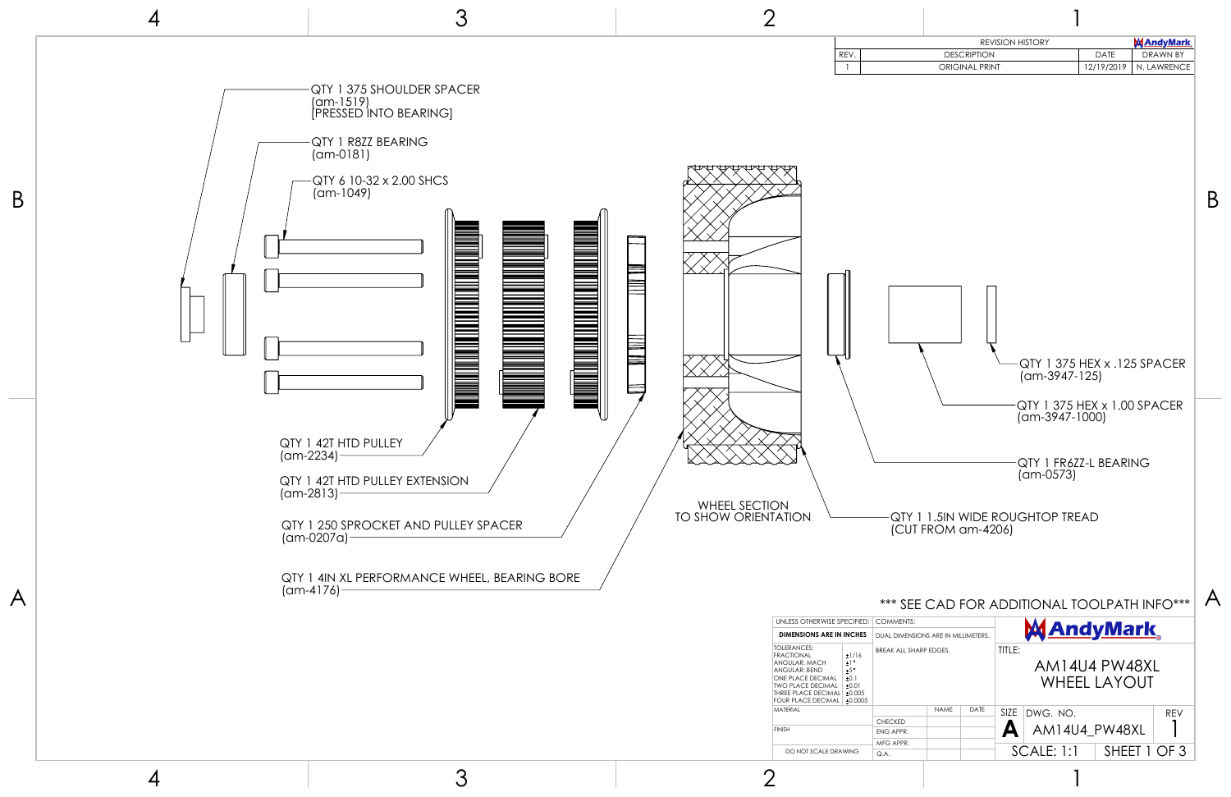|                                                                                             |                                                               |                    |                       |                                                                               | <b>REVISION HISTORY</b>                                                                     |               |              | <b>MAndyMark</b> |  |
|---------------------------------------------------------------------------------------------|---------------------------------------------------------------|--------------------|-----------------------|-------------------------------------------------------------------------------|---------------------------------------------------------------------------------------------|---------------|--------------|------------------|--|
| REV.                                                                                        |                                                               |                    | <b>DESCRIPTION</b>    |                                                                               |                                                                                             | <b>DATE</b>   |              | <b>DRAWN BY</b>  |  |
| $\mathbf{1}$                                                                                |                                                               |                    | <b>ORIGINAL PRINT</b> |                                                                               |                                                                                             | 12/19/2019    |              | N. LAWRENCE      |  |
|                                                                                             |                                                               |                    |                       | QTY 1 375 HEX x .125 SPACER<br>$(am-3947-125)$<br>QTY 1 375 HEX x 1.00 SPACER |                                                                                             |               |              |                  |  |
|                                                                                             |                                                               | (CUT FROM am-4206) |                       |                                                                               | $(am-3947-1000)$<br>QTY 1 FR6ZZ-L BEARING<br>$(am-0573)$<br>QTY 1 1.5IN WIDE ROUGHTOP TREAD |               |              |                  |  |
|                                                                                             |                                                               |                    |                       |                                                                               | *** SEE CAD FOR ADDITIONAL TOOLPATH INFO***                                                 |               |              |                  |  |
| <b>PECIFIED:</b>                                                                            | COMMENTS:                                                     |                    |                       |                                                                               |                                                                                             |               |              |                  |  |
| <b>I INCHES</b><br>±1/16<br>$\pm$ ] $^{\circ}$<br>$\pm 5\degree$<br>±0.1<br>±0.01<br>±0.005 | DUAL DIMENSIONS ARE IN MILLIMETERS.<br>BREAK ALL SHARP EDGES. |                    |                       | <u>MAndyMark </u><br>TITLE:<br>AM14U4 PW48XL<br><b>WHEEL LAYOUT</b>           |                                                                                             |               |              |                  |  |
| ±0.0005                                                                                     |                                                               | NAME               | DATE                  | SIZE                                                                          | DWG. NO.                                                                                    |               |              | <b>REV</b>       |  |
|                                                                                             | <b>CHECKED</b><br>ENG APPR.                                   |                    |                       | Δ                                                                             |                                                                                             | AM14U4_PW48XL |              |                  |  |
|                                                                                             | MFG APPR.                                                     |                    |                       |                                                                               |                                                                                             |               |              |                  |  |
| AWING                                                                                       | Q.A.                                                          |                    |                       |                                                                               | <b>SCALE: 1:1</b>                                                                           |               | SHEET 1 OF 3 |                  |  |



4

3

2

1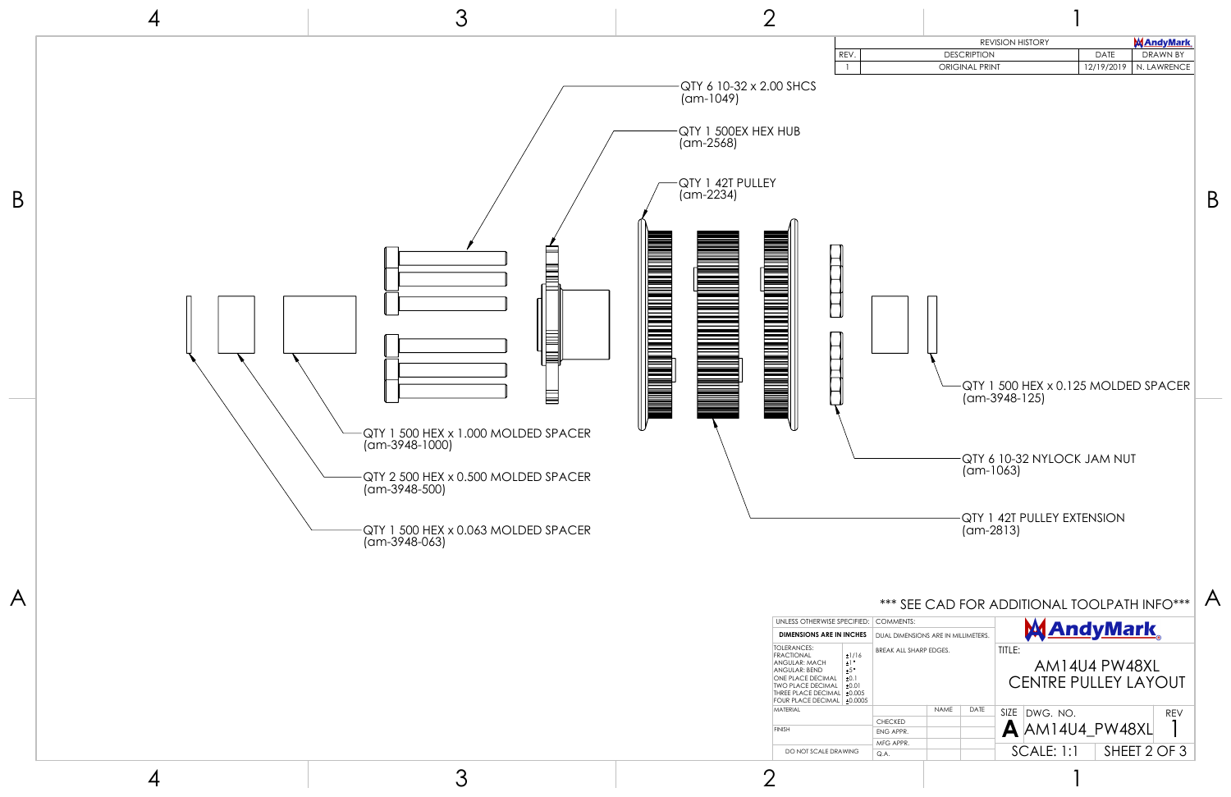| <b>MAndyMark</b><br><b>REVISION HISTORY</b><br><b>DATE</b><br><b>DRAWN BY</b><br>REV.<br><b>DESCRIPTION</b><br><b>ORIGINAL PRINT</b><br>12/19/2019<br>N. LAWRENCE<br>1<br>QTY 1 500 HEX x 0.125 MOLDED SPACER<br>$(am-3948-125)$<br>QTY 6 10-32 NYLOCK JAM NUT<br>(am-1063)<br>QTY 1 42T PULLEY EXTENSION<br>$(am-2813)$<br>*** SEE CAD FOR ADDITIONAL TOOLPATH INFO***<br><b>COMMENTS:</b><br>PECIFIED:<br><u> MAndyMark </u><br><b>I INCHES</b><br>DUAL DIMENSIONS ARE IN MILLIMETERS.<br>TITLE:<br>BREAK ALL SHARP EDGES.<br>±1/16<br>$\pm 1$ °<br>AM14U4 PW48XL<br>±5°<br>±0.1<br><b>CENTRE PULLEY LAYOUT</b><br>±0.01<br>±0.005<br>±0.0005<br><b>NAME</b><br>DATE<br>DWG. NO.<br>SIZE  <br><b>REV</b><br><b>CHECKED</b><br>$\blacktriangle$ AM14U4_PW48XL<br>ENG APPR.<br>MFG APPR.<br>$SCALE: 1:1$ SHEET 2 OF 3<br>AWING<br>Q.A. |  |  |  |  |  |  |          |
|----------------------------------------------------------------------------------------------------------------------------------------------------------------------------------------------------------------------------------------------------------------------------------------------------------------------------------------------------------------------------------------------------------------------------------------------------------------------------------------------------------------------------------------------------------------------------------------------------------------------------------------------------------------------------------------------------------------------------------------------------------------------------------------------------------------------------------------|--|--|--|--|--|--|----------|
|                                                                                                                                                                                                                                                                                                                                                                                                                                                                                                                                                                                                                                                                                                                                                                                                                                        |  |  |  |  |  |  |          |
|                                                                                                                                                                                                                                                                                                                                                                                                                                                                                                                                                                                                                                                                                                                                                                                                                                        |  |  |  |  |  |  |          |
|                                                                                                                                                                                                                                                                                                                                                                                                                                                                                                                                                                                                                                                                                                                                                                                                                                        |  |  |  |  |  |  | Β        |
|                                                                                                                                                                                                                                                                                                                                                                                                                                                                                                                                                                                                                                                                                                                                                                                                                                        |  |  |  |  |  |  |          |
|                                                                                                                                                                                                                                                                                                                                                                                                                                                                                                                                                                                                                                                                                                                                                                                                                                        |  |  |  |  |  |  | $\Delta$ |
|                                                                                                                                                                                                                                                                                                                                                                                                                                                                                                                                                                                                                                                                                                                                                                                                                                        |  |  |  |  |  |  |          |
|                                                                                                                                                                                                                                                                                                                                                                                                                                                                                                                                                                                                                                                                                                                                                                                                                                        |  |  |  |  |  |  |          |
|                                                                                                                                                                                                                                                                                                                                                                                                                                                                                                                                                                                                                                                                                                                                                                                                                                        |  |  |  |  |  |  |          |



1

1